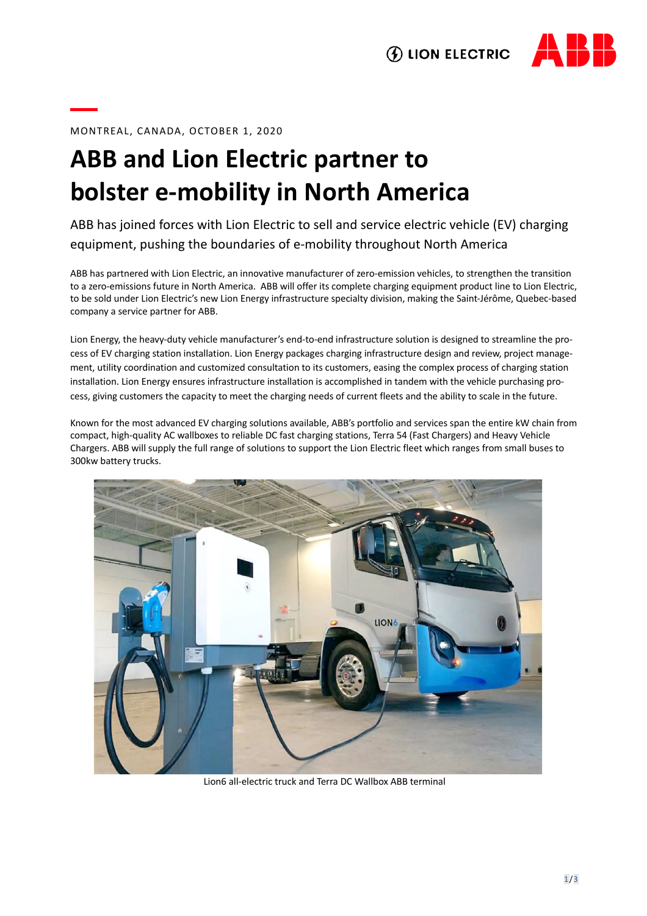



## MONTREAL, CANADA, OCTOBER 1, 2020

## **ABB and Lion Electric partner to bolster e-mobility in North America**

ABB has joined forces with Lion Electric to sell and service electric vehicle (EV) charging equipment, pushing the boundaries of e-mobility throughout North America

ABB has partnered with Lion Electric, an innovative manufacturer of zero-emission vehicles, to strengthen the transition to a zero-emissions future in North America. ABB will offer its complete charging equipment product line to Lion Electric, to be sold under Lion Electric's new Lion Energy infrastructure specialty division, making the Saint-Jérôme, Quebec-based company a service partner for ABB.

Lion Energy, the heavy-duty vehicle manufacturer's end-to-end infrastructure solution is designed to streamline the process of EV charging station installation. Lion Energy packages charging infrastructure design and review, project management, utility coordination and customized consultation to its customers, easing the complex process of charging station installation. Lion Energy ensures infrastructure installation is accomplished in tandem with the vehicle purchasing process, giving customers the capacity to meet the charging needs of current fleets and the ability to scale in the future.

Known for the most advanced EV charging solutions available, ABB's portfolio and services span the entire kW chain from compact, high-quality AC wallboxes to reliable DC fast charging stations, Terra 54 (Fast Chargers) and Heavy Vehicle Chargers. ABB will supply the full range of solutions to support the Lion Electric fleet which ranges from small buses to 300kw battery trucks.



Lion6 all-electric truck and Terra DC Wallbox ABB terminal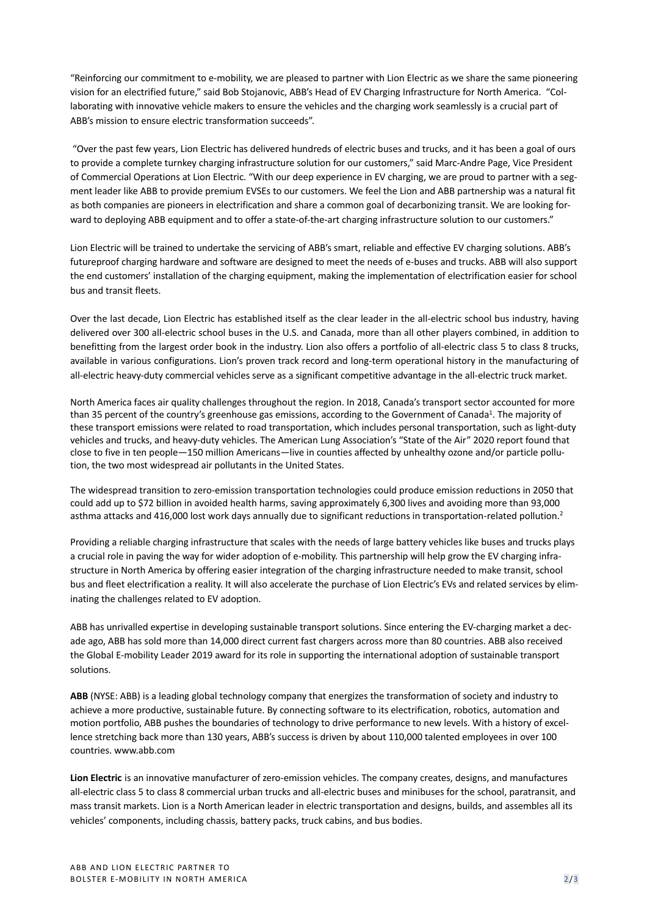"Reinforcing our commitment to e-mobility, we are pleased to partner with Lion Electric as we share the same pioneering vision for an electrified future," said Bob Stojanovic, ABB's Head of EV Charging Infrastructure for North America. "Collaborating with innovative vehicle makers to ensure the vehicles and the charging work seamlessly is a crucial part of ABB's mission to ensure electric transformation succeeds".

"Over the past few years, Lion Electric has delivered hundreds of electric buses and trucks, and it has been a goal of ours to provide a complete turnkey charging infrastructure solution for our customers," said Marc-Andre Page, Vice President of Commercial Operations at Lion Electric. "With our deep experience in EV charging, we are proud to partner with a segment leader like ABB to provide premium EVSEs to our customers. We feel the Lion and ABB partnership was a natural fit as both companies are pioneers in electrification and share a common goal of decarbonizing transit. We are looking forward to deploying ABB equipment and to offer a state-of-the-art charging infrastructure solution to our customers."

Lion Electric will be trained to undertake the servicing of ABB's smart, reliable and effective EV charging solutions. ABB's futureproof charging hardware and software are designed to meet the needs of e-buses and trucks. ABB will also support the end customers' installation of the charging equipment, making the implementation of electrification easier for school bus and transit fleets.

Over the last decade, Lion Electric has established itself as the clear leader in the all-electric school bus industry, having delivered over 300 all-electric school buses in the U.S. and Canada, more than all other players combined, in addition to benefitting from the largest order book in the industry. Lion also offers a portfolio of all-electric class 5 to class 8 trucks, available in various configurations. Lion's proven track record and long-term operational history in the manufacturing of all-electric heavy-duty commercial vehicles serve as a significant competitive advantage in the all-electric truck market.

North America faces air quality challenges throughout the region. In 2018, Canada's transport sector accounted for more than 35 percent of the country's greenhouse gas emissions, according to the Government of Canada<sup>1</sup>. The majority of these transport emissions were related to road transportation, which includes personal transportation, such as light-duty vehicles and trucks, and heavy-duty vehicles. The American Lung Association's "State of the Air" 2020 report found that close to five in ten people—150 million Americans—live in counties affected by unhealthy ozone and/or particle pollution, the two most widespread air pollutants in the United States.

The widespread transition to zero-emission transportation technologies could produce emission reductions in 2050 that could add up to \$72 billion in avoided health harms, saving approximately 6,300 lives and avoiding more than 93,000 asthma attacks and 416,000 lost work days annually due to significant reductions in transportation-related pollution.<sup>2</sup>

Providing a reliable charging infrastructure that scales with the needs of large battery vehicles like buses and trucks plays a crucial role in paving the way for wider adoption of e-mobility. This partnership will help grow the EV charging infrastructure in North America by offering easier integration of the charging infrastructure needed to make transit, school bus and fleet electrification a reality. It will also accelerate the purchase of Lion Electric's EVs and related services by eliminating the challenges related to EV adoption.

ABB has unrivalled expertise in developing sustainable transport solutions. Since entering the EV-charging market a decade ago, ABB has sold more than 14,000 direct current fast chargers across more than 80 countries. ABB also received the Global E-mobility Leader 2019 award for its role in supporting the international adoption of sustainable transport solutions.

**ABB** (NYSE: ABB) is a leading global technology company that energizes the transformation of society and industry to achieve a more productive, sustainable future. By connecting software to its electrification, robotics, automation and motion portfolio, ABB pushes the boundaries of technology to drive performance to new levels. With a history of excellence stretching back more than 130 years, ABB's success is driven by about 110,000 talented employees in over 100 countries. www.abb.com

**Lion Electric** is an innovative manufacturer of zero-emission vehicles. The company creates, designs, and manufactures all-electric class 5 to class 8 commercial urban trucks and all-electric buses and minibuses for the school, paratransit, and mass transit markets. Lion is a North American leader in electric transportation and designs, builds, and assembles all its vehicles' components, including chassis, battery packs, truck cabins, and bus bodies.